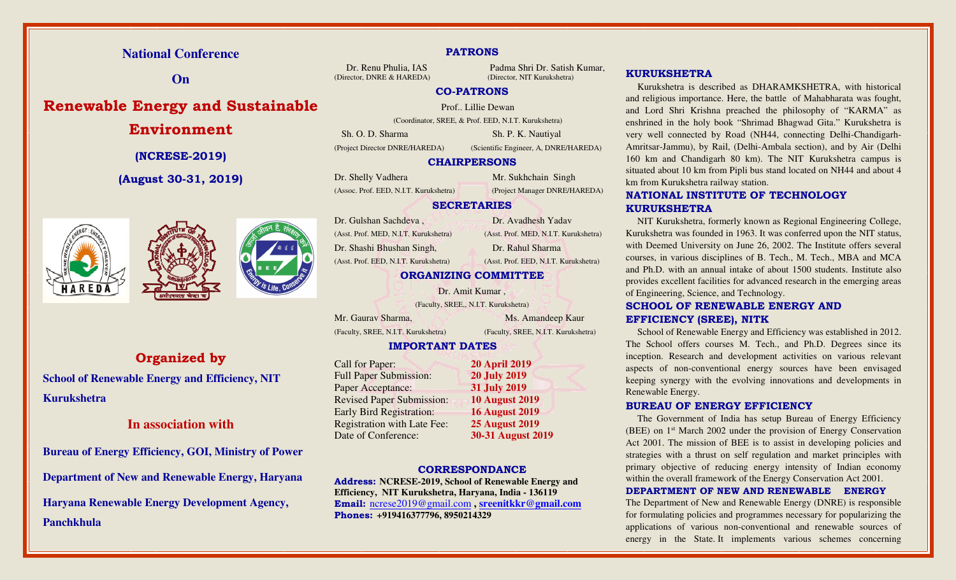# **National Conference**

**On** 

# **Renewable Energy and Sustainable**

# **Environment**

**(NCRESE-2019)** 

**(August 30-31, 2019)** 





**Organized by School of Renewable Energy and Efficiency, NIT** 

**Kurukshetra** 

# **In association with**

**Bureau of Energy Efficiency, GOI, Ministry of PowerDepartment of New and Renewable Energy, Haryana Haryana Renewable Energy Development Agency, Panchkhula** 

#### **PATRONS**

Dr. Renu Phulia, IAS Padma Shri Dr. Satish Kumar,

(Director, DNRE & HAREDA) (Director, NIT Kurukshetra)

## **CO-PATRONS**

Prof.. Lillie Dewan

(Coordinator, SREE, & Prof. EED, N.I.T. Kurukshetra)

Sh. O. D. Sharma Sh. P. K. Nautiyal

(Project Director DNRE/HAREDA)

 (Scientific Engineer, A, DNRE/HAREDA) **CHAIRPERSONS** 

Dr. Shelly Vadhera Mr. Sukhchain Singh

(Assoc. Prof. EED, N.I.T. Kurukshetra) (Project Manager DNRE/HAREDA)

# **SECRETARIES**

Dr. Gulshan Sachdeva , Dr. Avadhesh Yadav

# **ORGANIZING COMMITTEE**

(Faculty, SREE,, N.I.T. Kurukshetra)

(Faculty, SREE, N.I.T. Kurukshetra) (Faculty, SREE, N.I.T. Kurukshetra)

# **IMPORTANT DATES**

| Call for Paper:                    | <b>20 April 2019</b>  |
|------------------------------------|-----------------------|
| <b>Full Paper Submission:</b>      | <b>20 July 2019</b>   |
| Paper Acceptance:                  | <b>31 July 2019</b>   |
| <b>Revised Paper Submission:</b>   | <b>10 August 2019</b> |
| <b>Early Bird Registration:</b>    | <b>16 August 2019</b> |
| <b>Registration with Late Fee:</b> | <b>25 August 2019</b> |
| Date of Conference:                | 30-31 August 2019     |
|                                    |                       |

## **CORRESPONDANCE**

 **Address: NCRESE-2019, School of Renewable Energy and Efficiency, NIT Kurukshetra, Haryana, India - 136119 Email:** ncrese2019@gmail.com **, sreenitkkr@gmail.comPhones: +919416377796, 8950214329**

# **KURUKSHETRA**

 Kurukshetra is described as DHARAMKSHETRA, with historical and religious importance. Here, the battle of Mahabharata was fought, and Lord Shri Krishna preached the philosophy of "KARMA" as enshrined in the holy book "Shrimad Bhagwad Gita." Kurukshetra is very well connected by Road (NH44, connecting Delhi-Chandigarh-Amritsar-Jammu), by Rail, (Delhi-Ambala section), and by Air (Delhi 160 km and Chandigarh 80 km). The NIT Kurukshetra campus is situated about 10 km from Pipli bus stand located on NH44 and about 4 km from Kurukshetra railway station.

# **NATIONAL INSTITUTE OF TECHNOLOGY KURUKSHETRA**

 NIT Kurukshetra, formerly known as Regional Engineering College, Kurukshetra was founded in 1963. It was conferred upon the NIT status, with Deemed University on June 26, 2002. The Institute offers several courses, in various disciplines of B. Tech., M. Tech., MBA and MCA and Ph.D. with an annual intake of about 1500 students. Institute also provides excellent facilities for advanced research in the emerging areas of Engineering, Science, and Technology.

# **SCHOOL OF RENEWABLE ENERGY AND EFFICIENCY (SREE), NITK**

 School of Renewable Energy and Efficiency was established in 2012. The School offers courses M. Tech., and Ph.D. Degrees since its inception. Research and development activities on various relevant aspects of non-conventional energy sources have been envisaged keeping synergy with the evolving innovations and developments in Renewable Energy.

## **BUREAU OF ENERGY EFFICIENCY**

The Government of India has setup Bureau of Energy Efficiency (BEE) on 1st March 2002 under the provision of Energy Conservation Act 2001. The mission of BEE is to assist in developing policies and strategies with a thrust on self regulation and market principles with primary objective of reducing energy intensity of Indian economy within the overall framework of the Energy Conservation Act 2001.

#### **DEPARTMENT OF NEW AND RENEWABLE ENERGY**

 The Department of New and Renewable Energy (DNRE) is responsible for formulating policies and programmes necessary for popularizing the applications of various non-conventional and renewable sources of energy in the State. It implements various schemes concerning

# (Asst. Prof. MED, N.I.T. Kurukshetra) (Asst. Prof. MED, N.I.T. Kurukshetra) Dr. Shashi Bhushan Singh, Dr. Rahul Sharma

Mr. Gaurav Sharma, Ms. Amandeep Kaur

(Asst. Prof. EED, N.I.T. Kurukshetra) (Asst. Prof. EED, N.I.T. Kurukshetra)

Dr. Amit Kumar ,